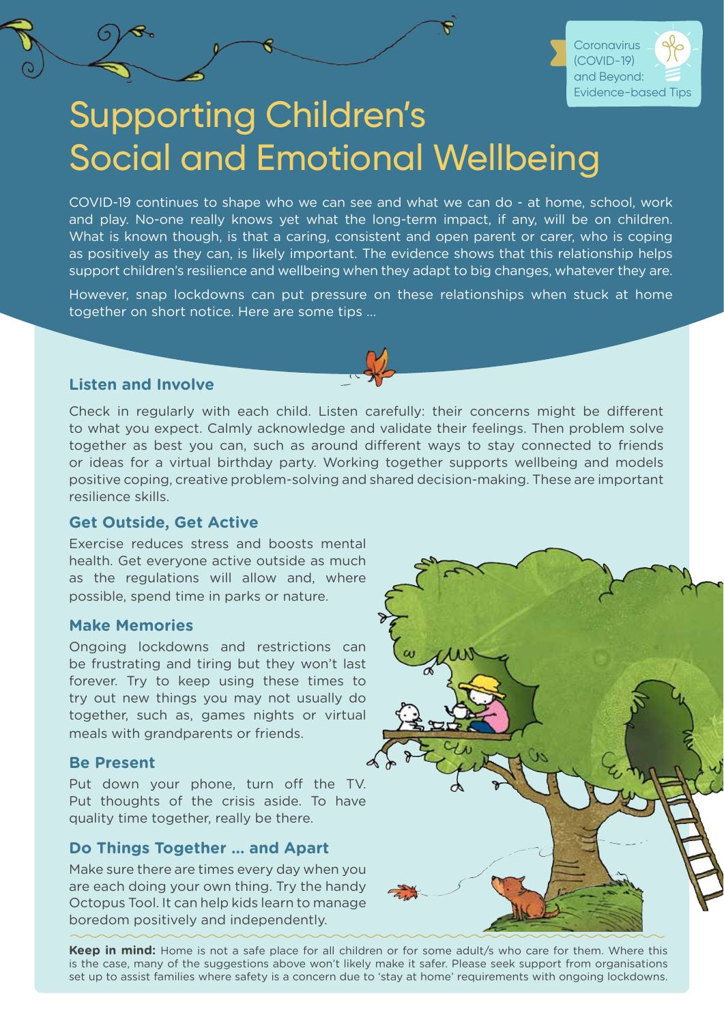

# Supporting Children's Social and Emotional Wellbeing

COVID-19 continues to shape who we can see and what we can do - at home, school, work and play. No-one really knows yet what the long-term impact, if any, will be on children. What is known though, is that a caring, consistent and open parent or carer, who is coping as positively as they can, is likely important. The evidence shows that this relationship helps support children's resilience and wellbeing when they adapt to big changes, whatever they are.

However, snap lockdowns can put pressure on these relationships when stuck at home together on short notice. Here are some tips ...

### **Listen and Involve**

Check in regularly with each child. Listen carefully: their concerns might be different to what you expect. Calmly acknowledge and validate their feelings. Then problem solve together as best you can, such as around different ways to stay connected to friends or ideas for a virtual birthday party. Working together supports wellbeing and models positive coping, creative problem-solving and shared decision-making. These are important resilience skills.

### **Get Outside, Get Active**

Exercise reduces stress and boosts mental health. Get everyone active outside as much as the regulations will allow and, where possible, spend time in parks or nature.

### **Make Memories**

Ongoing lockdowns and restrictions can be frustrating and tiring but they won't last forever. Try to keep using these times to try out new things you may not usually do together, such as, games nights or virtual meals with grandparents or friends.

### **Be Present**

Put down your phone, turn off the TV. Put thoughts of the crisis aside. To have quality time together, really be there.

### **Do Things Together … and Apart**

Make sure there are times every day when you are each doing your own thing. Try the handy Octopus Tool. It can help kids learn to manage boredom positively and independently.



Keep in mind: Home is not a safe place for all children or for some adult/s who care for them. Where this is the case, many of the suggestions above won't likely make it safer. Please seek support from organisations set up to assist families where safety is a concern due to 'stay at home' requirements with ongoing lockdowns.